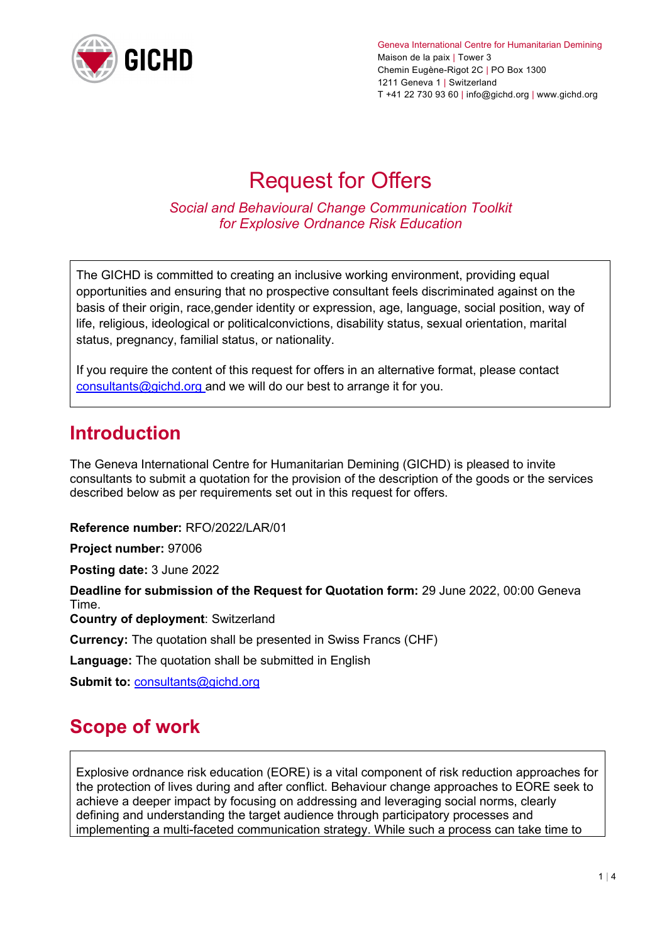

Geneva International Centre for Humanitarian Demining Maison de la paix | Tower 3 Chemin Eugène-Rigot 2C | PO Box 1300 1211 Geneva 1 | Switzerland T +41 22 730 93 60 | info@gichd.org | www.gichd.org

# Request for Offers

*Social and Behavioural Change Communication Toolkit for Explosive Ordnance Risk Education* 

The GICHD is committed to creating an inclusive working environment, providing equal opportunities and ensuring that no prospective consultant feels discriminated against on the basis of their origin, race,gender identity or expression, age, language, social position, way of life, religious, ideological or politicalconvictions, disability status, sexual orientation, marital status, pregnancy, familial status, or nationality.

If you require the content of this request for offers in an alternative format, please contact [consultants@gichd.org a](mailto:consultants@gichd.org)nd we will do our best to arrange it for you.

#### **Introduction**

The Geneva International Centre for Humanitarian Demining (GICHD) is pleased to invite consultants to submit a quotation for the provision of the description of the goods or the services described below as per requirements set out in this request for offers.

**Reference number:** RFO/2022/LAR/01

**Project number:** 97006

**Posting date:** 3 June 2022

**Deadline for submission of the Request for Quotation form:** 29 June 2022, 00:00 Geneva Time. **Country of deployment**: Switzerland

**Currency:** The quotation shall be presented in Swiss Francs (CHF)

**Language:** The quotation shall be submitted in English

**Submit to:** [consultants@gichd.org](mailto:consultants@gichd.org)

### **Scope of work**

Explosive ordnance risk education (EORE) is a vital component of risk reduction approaches for the protection of lives during and after conflict. Behaviour change approaches to EORE seek to achieve a deeper impact by focusing on addressing and leveraging social norms, clearly defining and understanding the target audience through participatory processes and implementing a multi-faceted communication strategy. While such a process can take time to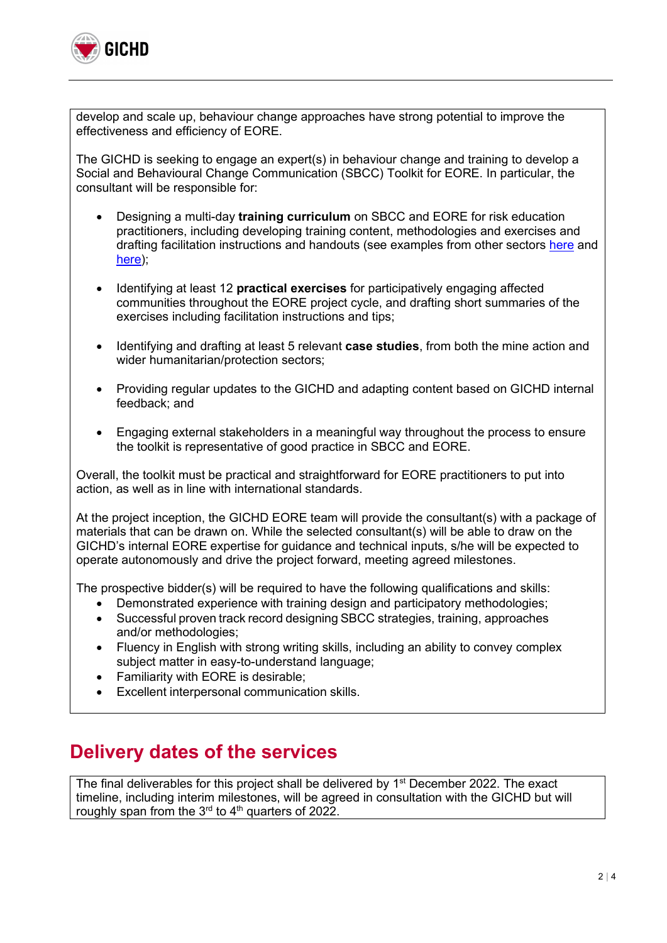

develop and scale up, behaviour change approaches have strong potential to improve the effectiveness and efficiency of EORE.

The GICHD is seeking to engage an expert(s) in behaviour change and training to develop a Social and Behavioural Change Communication (SBCC) Toolkit for EORE. In particular, the consultant will be responsible for:

- Designing a multi-day **training curriculum** on SBCC and EORE for risk education practitioners, including developing training content, methodologies and exercises and drafting facilitation instructions and handouts (see examples from other sectors [here](https://coregroup.org/wp-content/uploads/media-backup/documents/Resources/Tools/DBC_English.pdf) and [here\)](https://www.fsnnetwork.org/sites/default/files/advanced_workshop_on_designing_for_behavior_change.pdf);
- Identifying at least 12 **practical exercises** for participatively engaging affected communities throughout the EORE project cycle, and drafting short summaries of the exercises including facilitation instructions and tips;
- Identifying and drafting at least 5 relevant **case studies**, from both the mine action and wider humanitarian/protection sectors;
- Providing regular updates to the GICHD and adapting content based on GICHD internal feedback; and
- Engaging external stakeholders in a meaningful way throughout the process to ensure the toolkit is representative of good practice in SBCC and EORE.

Overall, the toolkit must be practical and straightforward for EORE practitioners to put into action, as well as in line with international standards.

At the project inception, the GICHD EORE team will provide the consultant(s) with a package of materials that can be drawn on. While the selected consultant(s) will be able to draw on the GICHD's internal EORE expertise for guidance and technical inputs, s/he will be expected to operate autonomously and drive the project forward, meeting agreed milestones.

The prospective bidder(s) will be required to have the following qualifications and skills:

- Demonstrated experience with training design and participatory methodologies;
- Successful proven track record designing SBCC strategies, training, approaches and/or methodologies;
- Fluency in English with strong writing skills, including an ability to convey complex subject matter in easy-to-understand language;
- Familiarity with EORE is desirable;
- Excellent interpersonal communication skills.

### **Delivery dates of the services**

The final deliverables for this project shall be delivered by 1<sup>st</sup> December 2022. The exact timeline, including interim milestones, will be agreed in consultation with the GICHD but will roughly span from the  $3<sup>rd</sup>$  to  $4<sup>th</sup>$  quarters of 2022.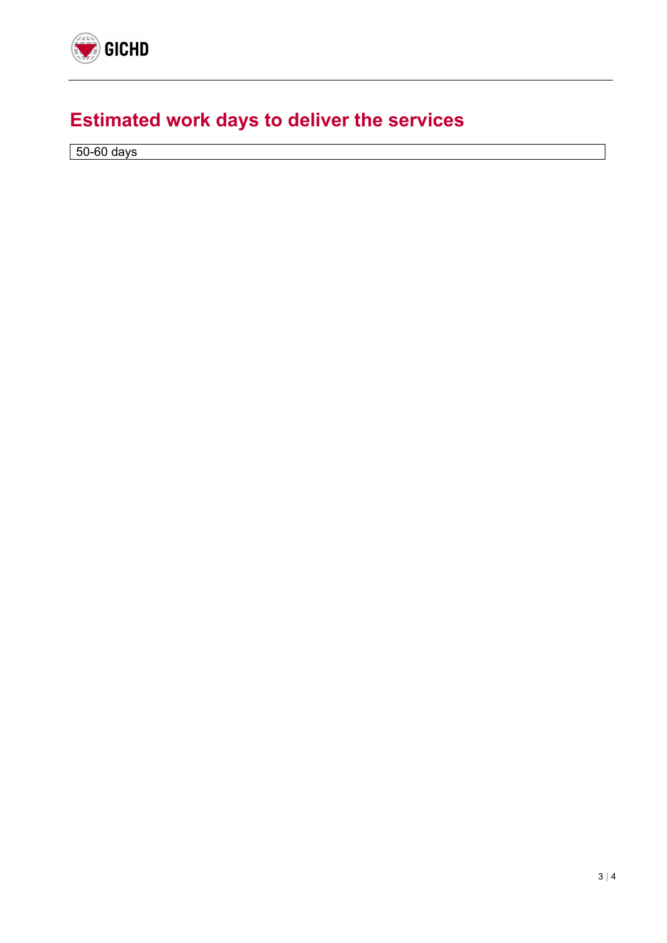

## **Estimated work days to deliver the services**

50-60 days